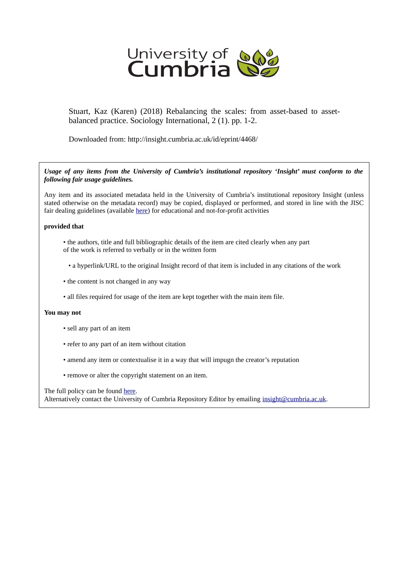

Stuart, Kaz (Karen) (2018) Rebalancing the scales: from asset-based to assetbalanced practice. Sociology International, 2 (1). pp. 1-2.

Downloaded from: http://insight.cumbria.ac.uk/id/eprint/4468/

*Usage of any items from the University of Cumbria's institutional repository 'Insight' must conform to the following fair usage guidelines.*

Any item and its associated metadata held in the University of Cumbria's institutional repository Insight (unless stated otherwise on the metadata record) may be copied, displayed or performed, and stored in line with the JISC fair dealing guidelines (available [here\)](http://www.ukoln.ac.uk/services/elib/papers/pa/fair/) for educational and not-for-profit activities

## **provided that**

- the authors, title and full bibliographic details of the item are cited clearly when any part of the work is referred to verbally or in the written form
	- a hyperlink/URL to the original Insight record of that item is included in any citations of the work
- the content is not changed in any way
- all files required for usage of the item are kept together with the main item file.

## **You may not**

- sell any part of an item
- refer to any part of an item without citation
- amend any item or contextualise it in a way that will impugn the creator's reputation
- remove or alter the copyright statement on an item.

The full policy can be found [here.](http://insight.cumbria.ac.uk/legal.html#section5)

Alternatively contact the University of Cumbria Repository Editor by emailing [insight@cumbria.ac.uk.](mailto:insight@cumbria.ac.uk)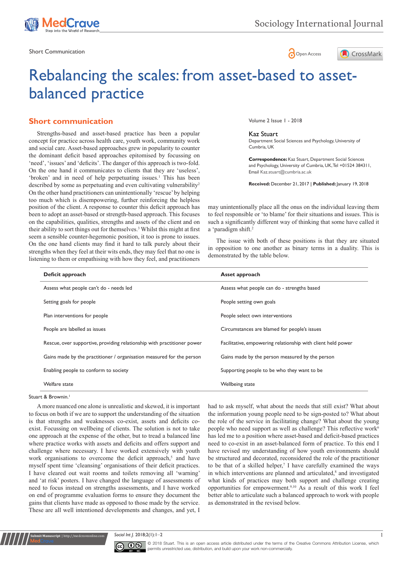

Short Communication and the state of the state of the state of the Short Communication and the Short Communication





# Rebalancing the scales: from asset-based to assetbalanced practice

# **Short communication**

position of the client. A response to counter this deficit approach has been to adopt an asset-based or strength-based approach. This focuses on the capabilities, qualities, strengths and assets of the client and on their ability to sort things out for themselves.<sup>3</sup> Whilst this might at first seem a sensible counter-hegemonic position, it too is prone to issues. On the one hand clients may find it hard to talk purely about their strengths when they feel at their wits ends, they may feel that no one is listening to them or empathising with how they feel, and practitioners Strengths-based and asset-based practice has been a popular concept for practice across health care, youth work, community work and social care. Asset-based approaches grew in popularity to counter the dominant deficit based approaches epitomised by focussing on 'need', 'issues' and 'deficits'. The danger of this approach is two-fold. On the one hand it communicates to clients that they are 'useless', 'broken' and in need of help perpetuating issues.<sup>1</sup> This has been described by some as perpetuating and even cultivating vulnerability<sup>2</sup> On the other hand practitioners can unintentionally 'rescue' by helping too much which is disempowering, further reinforcing the helpless

Volume 2 Issue 1 - 2018

#### Kaz Stuart

Department Social Sciences and Psychology, University of Cumbria, UK

**Correspondence:** Kaz Stuart, Department Social Sciences and Psychology, University of Cumbria, UK, Tel +01524 384311, Email Kaz.stuart@cumbria.ac.uk

**Received:** December 21, 2017 | **Published:** January 19, 2018

may unintentionally place all the onus on the individual leaving them to feel responsible or 'to blame' for their situations and issues. This is such a significantly different way of thinking that some have called it a 'paradigm shift.<sup>2</sup>

The issue with both of these positions is that they are situated in opposition to one another as binary terms in a duality. This is demonstrated by the table below.

| Deficit approach                                                        | Asset approach                                               |  |
|-------------------------------------------------------------------------|--------------------------------------------------------------|--|
| Assess what people can't do - needs led                                 | Assess what people can do - strengths based                  |  |
| Setting goals for people                                                | People setting own goals                                     |  |
| Plan interventions for people                                           | People select own interventions                              |  |
| People are labelled as issues                                           | Circumstances are blamed for people's issues                 |  |
| Rescue, over supportive, providing relationship with practitioner power | Facilitative, empowering relationship with client held power |  |
| Gains made by the practitioner / organisation measured for the person   | Gains made by the person measured by the person              |  |
| Enabling people to conform to society                                   | Supporting people to be who they want to be                  |  |
| Welfare state                                                           | Wellbeing state                                              |  |

#### Stuart & Brownin.1

**Submit Manuscript** | http://medcraveonline.com

A more nuanced one alone is unrealistic and skewed, it is important to focus on both if we are to support the understanding of the situation is that strengths and weaknesses co-exist, assets and deficits coexist. Focussing on wellbeing of clients. The solution is not to take one approach at the expense of the other, but to tread a balanced line where practice works with assets and deficits and offers support and challenge where necessary. I have worked extensively with youth work organisations to overcome the deficit approach,<sup>5</sup> and have myself spent time 'cleansing' organisations of their deficit practices. I have cleared out wait rooms and toilets removing all 'warning' and 'at risk' posters. I have changed the language of assessments of need to focus instead on strengths assessments, and I have worked on end of programme evaluation forms to ensure they document the gains that clients have made as opposed to those made by the service. These are all well intentioned developments and changes, and yet, I

had to ask myself, what about the needs that still exist? What about the information young people need to be sign-posted to? What about the role of the service in facilitating change? What about the young people who need support as well as challenge? This reflective work<sup>6</sup> has led me to a position where asset-based and deficit-based practices need to co-exist in an asset-balanced form of practice. To this end I have revised my understanding of how youth environments should be structured and decorated, reconsidered the role of the practitioner to be that of a skilled helper, $7$  I have carefully examined the ways in which interventions are planned and articulated,<sup>8</sup> and investigated what kinds of practices may both support and challenge creating opportunities for empowerment.9,10 As a result of this work I feel better able to articulate such a balanced approach to work with people as demonstrated in the revised below.

#### **Sociol** Int J. 2018;2(1):1–2 1



© 2018 Stuart. This is an open access article distributed under the terms of the [Creative Commons Attribution License,](https://creativecommons.org/licenses/by-nc/4.0/) which permits unrestricted use, distribution, and build upon your work non-commercially.